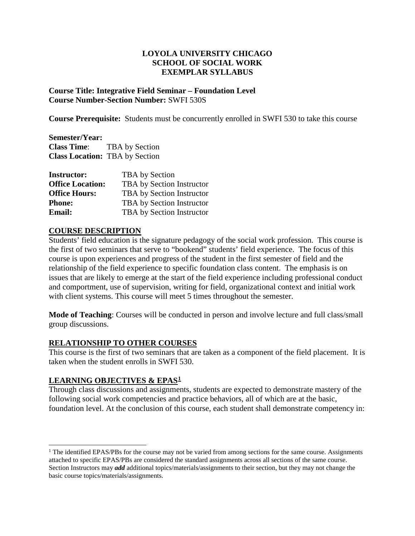## **LOYOLA UNIVERSITY CHICAGO SCHOOL OF SOCIAL WORK EXEMPLAR SYLLABUS**

**Course Title: Integrative Field Seminar – Foundation Level Course Number-Section Number:** SWFI 530S

**Course Prerequisite:** Students must be concurrently enrolled in SWFI 530 to take this course

**Semester/Year: Class Time**: TBA by Section **Class Location:** TBA by Section

| <b>Instructor:</b>      | TBA by Section            |
|-------------------------|---------------------------|
| <b>Office Location:</b> | TBA by Section Instructor |
| <b>Office Hours:</b>    | TBA by Section Instructor |
| <b>Phone:</b>           | TBA by Section Instructor |
| <b>Email:</b>           | TBA by Section Instructor |

## **COURSE DESCRIPTION**

Students' field education is the signature pedagogy of the social work profession. This course is the first of two seminars that serve to "bookend" students' field experience. The focus of this course is upon experiences and progress of the student in the first semester of field and the relationship of the field experience to specific foundation class content. The emphasis is on issues that are likely to emerge at the start of the field experience including professional conduct and comportment, use of supervision, writing for field, organizational context and initial work with client systems. This course will meet 5 times throughout the semester.

**Mode of Teaching**: Courses will be conducted in person and involve lecture and full class/small group discussions.

# **RELATIONSHIP TO OTHER COURSES**

This course is the first of two seminars that are taken as a component of the field placement. It is taken when the student enrolls in SWFI 530.

# **LEARNING OBJECTIVES & EPAS[1](#page-0-0)**

Through class discussions and assignments, students are expected to demonstrate mastery of the following social work competencies and practice behaviors, all of which are at the basic, foundation level. At the conclusion of this course, each student shall demonstrate competency in:

<span id="page-0-0"></span> $1$  The identified EPAS/PBs for the course may not be varied from among sections for the same course. Assignments attached to specific EPAS/PBs are considered the standard assignments across all sections of the same course. Section Instructors may *add* additional topics/materials/assignments to their section, but they may not change the basic course topics/materials/assignments.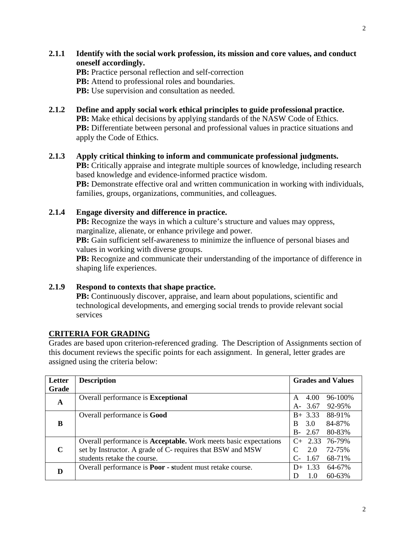**2.1.1 Identify with the social work profession, its mission and core values, and conduct oneself accordingly.** 

**PB:** Practice personal reflection and self-correction **PB:** Attend to professional roles and boundaries.

**PB:** Use supervision and consultation as needed.

**2.1.2 Define and apply social work ethical principles to guide professional practice. PB:** Make ethical decisions by applying standards of the NASW Code of Ethics. **PB:** Differentiate between personal and professional values in practice situations and apply the Code of Ethics.

**2.1.3 Apply critical thinking to inform and communicate professional judgments. PB:** Critically appraise and integrate multiple sources of knowledge, including research based knowledge and evidence-informed practice wisdom. **PB:** Demonstrate effective oral and written communication in working with individuals, families, groups, organizations, communities, and colleagues.

## **2.1.4 Engage diversity and difference in practice.**

**PB:** Recognize the ways in which a culture's structure and values may oppress, marginalize, alienate, or enhance privilege and power.

PB: Gain sufficient self-awareness to minimize the influence of personal biases and values in working with diverse groups.

**PB:** Recognize and communicate their understanding of the importance of difference in shaping life experiences.

# **2.1.9 Respond to contexts that shape practice.**

**PB:** Continuously discover, appraise, and learn about populations, scientific and technological developments, and emerging social trends to provide relevant social services

# **CRITERIA FOR GRADING**

Grades are based upon criterion-referenced grading. The Description of Assignments section of this document reviews the specific points for each assignment. In general, letter grades are assigned using the criteria below:

| Letter      | <b>Description</b>                                               | <b>Grades and Values</b>                     |  |  |  |
|-------------|------------------------------------------------------------------|----------------------------------------------|--|--|--|
| Grade       |                                                                  |                                              |  |  |  |
| $\mathbf A$ | Overall performance is <b>Exceptional</b>                        | 96-100%<br>4.00<br>A                         |  |  |  |
|             |                                                                  | 3.67<br>92-95%<br>$A-$                       |  |  |  |
|             | Overall performance is <b>Good</b>                               | $B+ 3.33$<br>88-91%                          |  |  |  |
| B           |                                                                  | 3.0<br>84-87%<br><sub>R</sub>                |  |  |  |
|             |                                                                  | $B - 2.67$<br>80-83%                         |  |  |  |
|             | Overall performance is Acceptable. Work meets basic expectations | $C+2.33$<br>76-79%                           |  |  |  |
| $\mathbf C$ | set by Instructor. A grade of C- requires that BSW and MSW       | 2.0<br>72-75%                                |  |  |  |
|             | students retake the course.                                      | 1.67<br>$\mathcal{C}_{\mathsf{F}}$<br>68-71% |  |  |  |
| D           | Overall performance is <b>Poor</b> - student must retake course. | $D+ 1.33$<br>64-67%                          |  |  |  |
|             |                                                                  | $60 - 63%$<br>1.0                            |  |  |  |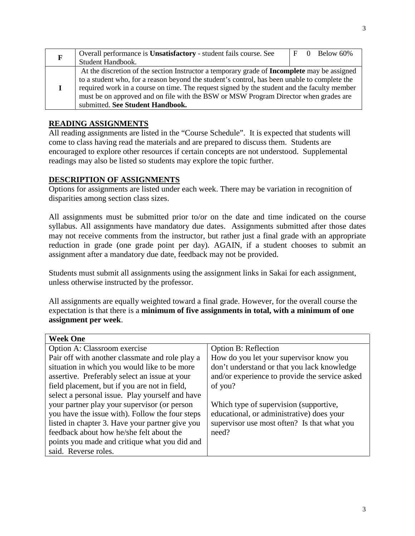| $\mathbf F$ | Overall performance is <b>Unsatisfactory</b> - student fails course. See                           |  | $F \quad 0 \quad$ Below 60% |
|-------------|----------------------------------------------------------------------------------------------------|--|-----------------------------|
|             | Student Handbook.                                                                                  |  |                             |
|             | At the discretion of the section Instructor a temporary grade of <b>Incomplete</b> may be assigned |  |                             |
|             | to a student who, for a reason beyond the student's control, has been unable to complete the       |  |                             |
|             | required work in a course on time. The request signed by the student and the faculty member        |  |                             |
|             | must be on approved and on file with the BSW or MSW Program Director when grades are               |  |                             |
|             | submitted. See Student Handbook.                                                                   |  |                             |

# **READING ASSIGNMENTS**

All reading assignments are listed in the "Course Schedule". It is expected that students will come to class having read the materials and are prepared to discuss them. Students are encouraged to explore other resources if certain concepts are not understood. Supplemental readings may also be listed so students may explore the topic further.

# **DESCRIPTION OF ASSIGNMENTS**

Options for assignments are listed under each week. There may be variation in recognition of disparities among section class sizes.

All assignments must be submitted prior to/or on the date and time indicated on the course syllabus. All assignments have mandatory due dates. Assignments submitted after those dates may not receive comments from the instructor, but rather just a final grade with an appropriate reduction in grade (one grade point per day). AGAIN, if a student chooses to submit an assignment after a mandatory due date, feedback may not be provided.

Students must submit all assignments using the assignment links in Sakai for each assignment, unless otherwise instructed by the professor.

All assignments are equally weighted toward a final grade. However, for the overall course the expectation is that there is a **minimum of five assignments in total, with a minimum of one assignment per week**.

| <b>Week One</b>                                 |                                                |
|-------------------------------------------------|------------------------------------------------|
| Option A: Classroom exercise                    | <b>Option B: Reflection</b>                    |
| Pair off with another classmate and role play a | How do you let your supervisor know you        |
| situation in which you would like to be more    | don't understand or that you lack knowledge    |
| assertive. Preferably select an issue at your   | and/or experience to provide the service asked |
| field placement, but if you are not in field,   | of you?                                        |
| select a personal issue. Play yourself and have |                                                |
| your partner play your supervisor (or person    | Which type of supervision (supportive,         |
| you have the issue with). Follow the four steps | educational, or administrative) does your      |
| listed in chapter 3. Have your partner give you | supervisor use most often? Is that what you    |
| feedback about how he/she felt about the        | need?                                          |
| points you made and critique what you did and   |                                                |
| said. Reverse roles.                            |                                                |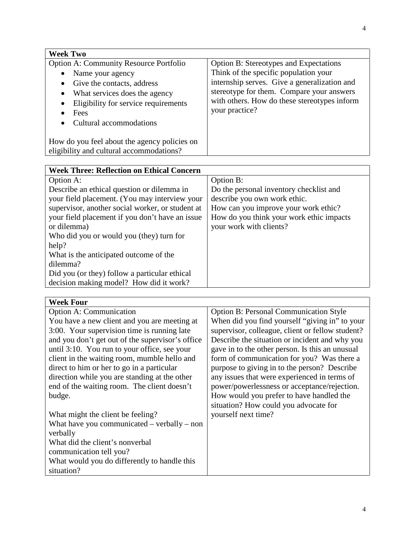| <b>Week Two</b>                                                                                                                                                                                                                                    |                                                                                                                                                                                                                                                       |
|----------------------------------------------------------------------------------------------------------------------------------------------------------------------------------------------------------------------------------------------------|-------------------------------------------------------------------------------------------------------------------------------------------------------------------------------------------------------------------------------------------------------|
| <b>Option A: Community Resource Portfolio</b><br>Name your agency<br>Give the contacts, address<br>$\bullet$<br>What services does the agency<br>$\bullet$<br>Eligibility for service requirements<br>$\bullet$<br>Fees<br>Cultural accommodations | <b>Option B: Stereotypes and Expectations</b><br>Think of the specific population your<br>internship serves. Give a generalization and<br>stereotype for them. Compare your answers<br>with others. How do these stereotypes inform<br>your practice? |
| How do you feel about the agency policies on<br>eligibility and cultural accommodations?                                                                                                                                                           |                                                                                                                                                                                                                                                       |

| <b>Week Three: Reflection on Ethical Concern</b> |                                          |
|--------------------------------------------------|------------------------------------------|
| Option A:                                        | Option B:                                |
| Describe an ethical question or dilemma in       | Do the personal inventory checklist and  |
| your field placement. (You may interview your    | describe you own work ethic.             |
| supervisor, another social worker, or student at | How can you improve your work ethic?     |
| your field placement if you don't have an issue  | How do you think your work ethic impacts |
| or dilemma)                                      | your work with clients?                  |
| Who did you or would you (they) turn for         |                                          |
| help?                                            |                                          |
| What is the anticipated outcome of the           |                                          |
| dilemma?                                         |                                          |
| Did you (or they) follow a particular ethical    |                                          |
| decision making model? How did it work?          |                                          |

| <b>Week Four</b>                                 |                                                  |
|--------------------------------------------------|--------------------------------------------------|
| <b>Option A: Communication</b>                   | <b>Option B: Personal Communication Style</b>    |
| You have a new client and you are meeting at     | When did you find yourself "giving in" to your   |
| 3:00. Your supervision time is running late      | supervisor, colleague, client or fellow student? |
| and you don't get out of the supervisor's office | Describe the situation or incident and why you   |
| until 3:10. You run to your office, see your     | gave in to the other person. Is this an unusual  |
| client in the waiting room, mumble hello and     | form of communication for you? Was there a       |
| direct to him or her to go in a particular       | purpose to giving in to the person? Describe     |
| direction while you are standing at the other    | any issues that were experienced in terms of     |
| end of the waiting room. The client doesn't      | power/powerlessness or acceptance/rejection.     |
| budge.                                           | How would you prefer to have handled the         |
|                                                  | situation? How could you advocate for            |
| What might the client be feeling?                | yourself next time?                              |
| What have you communicated $-$ verbally $-$ non  |                                                  |
| verbally                                         |                                                  |
| What did the client's nonverbal                  |                                                  |
| communication tell you?                          |                                                  |
| What would you do differently to handle this     |                                                  |
| situation?                                       |                                                  |
|                                                  |                                                  |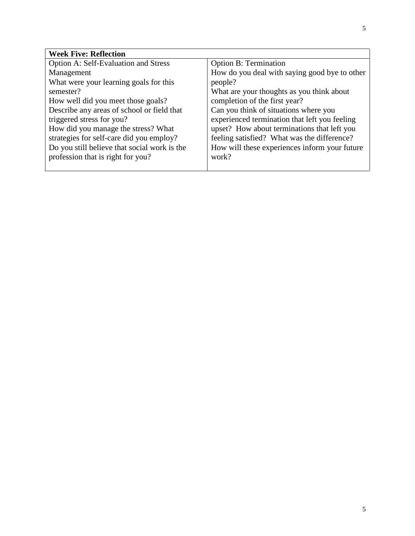| <b>Week Five: Reflection</b>                 |                                               |
|----------------------------------------------|-----------------------------------------------|
| <b>Option A: Self-Evaluation and Stress</b>  | <b>Option B: Termination</b>                  |
| Management                                   | How do you deal with saying good bye to other |
| What were your learning goals for this       | people?                                       |
| semester?                                    | What are your thoughts as you think about     |
| How well did you meet those goals?           | completion of the first year?                 |
| Describe any areas of school or field that   | Can you think of situations where you         |
| triggered stress for you?                    | experienced termination that left you feeling |
| How did you manage the stress? What          | upset? How about terminations that left you   |
| strategies for self-care did you employ?     | feeling satisfied? What was the difference?   |
| Do you still believe that social work is the | How will these experiences inform your future |
| profession that is right for you?            | work?                                         |
|                                              |                                               |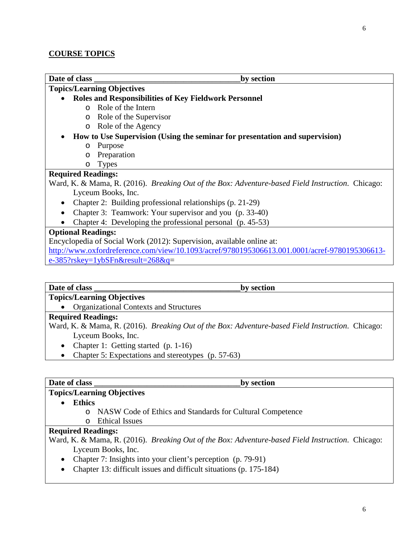| Date of class                                                         | by section                                                                                               |
|-----------------------------------------------------------------------|----------------------------------------------------------------------------------------------------------|
| <b>Topics/Learning Objectives</b>                                     |                                                                                                          |
|                                                                       | <b>Roles and Responsibilities of Key Fieldwork Personnel</b>                                             |
| Role of the Intern<br>$\Omega$                                        |                                                                                                          |
| Role of the Supervisor<br>$\circ$                                     |                                                                                                          |
| Role of the Agency<br>$\circ$                                         |                                                                                                          |
|                                                                       | How to Use Supervision (Using the seminar for presentation and supervision)                              |
| Purpose<br>$\circ$                                                    |                                                                                                          |
| Preparation<br>O                                                      |                                                                                                          |
| <b>Types</b><br>O                                                     |                                                                                                          |
| <b>Required Readings:</b>                                             |                                                                                                          |
|                                                                       | Ward, K. & Mama, R. (2016). <i>Breaking Out of the Box: Adventure-based Field Instruction</i> . Chicago: |
| Lyceum Books, Inc.                                                    |                                                                                                          |
|                                                                       | Chapter 2: Building professional relationships (p. 21-29)                                                |
|                                                                       | Chapter 3: Teamwork: Your supervisor and you (p. 33-40)                                                  |
|                                                                       | Chapter 4: Developing the professional personal (p. 45-53)                                               |
| <b>Optional Readings:</b>                                             |                                                                                                          |
| Encyclopedia of Social Work (2012): Supervision, available online at: |                                                                                                          |
|                                                                       | http://www.oxfordreference.com/view/10.1093/acref/9780195306613.001.0001/acref-9780195306613-            |
| $e-385?$ rskey=1ybSFn&result=268&q=                                   |                                                                                                          |

Date of class **by section** 

# **Topics/Learning Objectives**

• Organizational Contexts and Structures

## **Required Readings:**

Ward, K. & Mama, R. (2016). *Breaking Out of the Box: Adventure-based Field Instruction*. Chicago: Lyceum Books, Inc.

- Chapter 1: Getting started (p. 1-16)
- Chapter 5: Expectations and stereotypes (p. 57-63)

### **Date of class \_\_\_\_\_\_\_\_\_\_\_\_\_\_\_\_\_\_\_\_\_\_\_\_\_\_\_\_\_\_\_\_\_\_\_\_by section**

# **Topics/Learning Objectives**

- **Ethics**
	- o NASW Code of Ethics and Standards for Cultural Competence
	- o Ethical Issues

## **Required Readings:**

Ward, K. & Mama, R. (2016). *Breaking Out of the Box: Adventure-based Field Instruction*. Chicago: Lyceum Books, Inc.

- Chapter 7: Insights into your client's perception (p. 79-91)
- Chapter 13: difficult issues and difficult situations (p. 175-184)